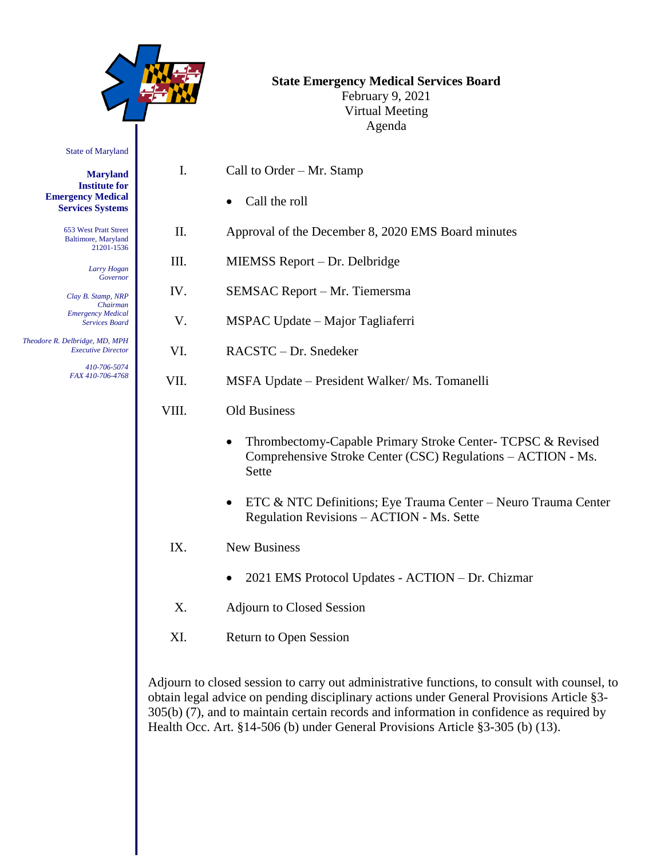|                                                             |       | <b>State Emergency Medical Services Board</b><br>February 9, 2021<br><b>Virtual Meeting</b><br>Agenda                                |
|-------------------------------------------------------------|-------|--------------------------------------------------------------------------------------------------------------------------------------|
| <b>State of Maryland</b>                                    |       |                                                                                                                                      |
| <b>Maryland</b><br><b>Institute for</b>                     | I.    | Call to Order – Mr. Stamp                                                                                                            |
| <b>Emergency Medical</b><br><b>Services Systems</b>         |       | Call the roll                                                                                                                        |
| 653 West Pratt Street<br>Baltimore, Maryland<br>21201-1536  | II.   | Approval of the December 8, 2020 EMS Board minutes                                                                                   |
| Larry Hogan                                                 | III.  | MIEMSS Report – Dr. Delbridge                                                                                                        |
| Governor<br>Clay B. Stamp, NRP<br>Chairman                  | IV.   | SEMSAC Report - Mr. Tiemersma                                                                                                        |
| <b>Emergency Medical</b><br><b>Services Board</b>           | V.    | MSPAC Update – Major Tagliaferri                                                                                                     |
| Theodore R. Delbridge, MD, MPH<br><b>Executive Director</b> | VI.   | RACSTC-Dr. Snedeker                                                                                                                  |
| 410-706-5074<br>FAX 410-706-4768                            | VII.  | MSFA Update - President Walker/ Ms. Tomanelli                                                                                        |
|                                                             | VIII. | <b>Old Business</b>                                                                                                                  |
|                                                             |       | Thrombectomy-Capable Primary Stroke Center- TCPSC & Revised<br>Comprehensive Stroke Center (CSC) Regulations - ACTION - Ms.<br>Sette |
|                                                             |       | ETC & NTC Definitions; Eye Trauma Center - Neuro Trauma Center<br>Regulation Revisions - ACTION - Ms. Sette                          |
|                                                             | IX.   | New Business                                                                                                                         |
|                                                             |       | 2021 EMS Protocol Updates - ACTION - Dr. Chizmar                                                                                     |
|                                                             | X.    | <b>Adjourn to Closed Session</b>                                                                                                     |

XI. Return to Open Session

Adjourn to closed session to carry out administrative functions, to consult with counsel, to obtain legal advice on pending disciplinary actions under General Provisions Article §3- 305(b) (7), and to maintain certain records and information in confidence as required by Health Occ. Art. §14-506 (b) under General Provisions Article §3-305 (b) (13).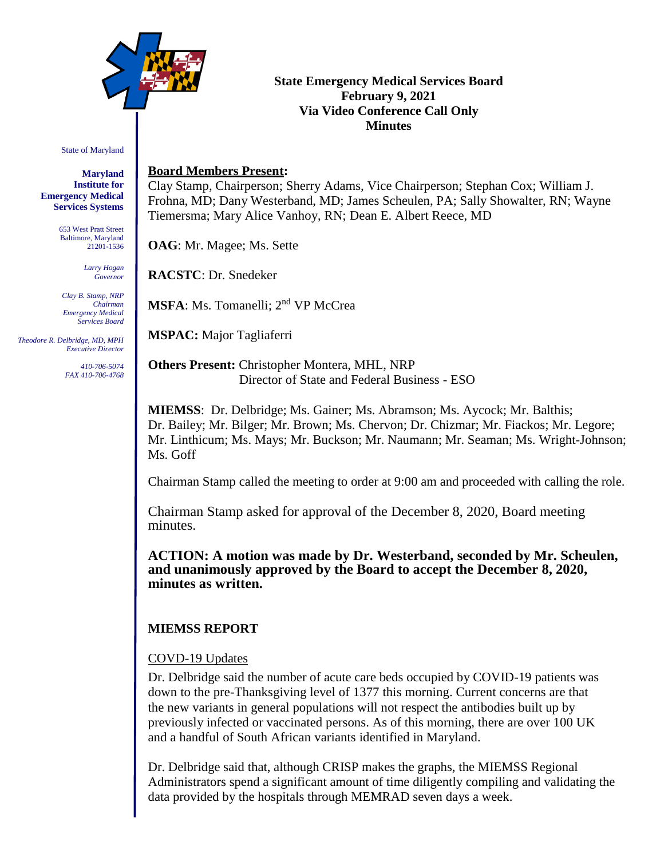

### **State Emergency Medical Services Board February 9, 2021 Via Video Conference Call Only Minutes**

State of Maryland

**Maryland Institute for Emergency Medical Services Systems**

> 653 West Pratt Street Baltimore, Maryland 21201-1536

> > *Larry Hogan Governor*

*Clay B. Stamp, NRP Chairman Emergency Medical Services Board*

 *Theodore R. Delbridge, MD, MPH Executive Director*

> *410-706-5074 FAX 410-706-4768*

### **Board Members Present:**

Clay Stamp, Chairperson; Sherry Adams, Vice Chairperson; Stephan Cox; William J. Frohna, MD; Dany Westerband, MD; James Scheulen, PA; Sally Showalter, RN; Wayne Tiemersma; Mary Alice Vanhoy, RN; Dean E. Albert Reece, MD

**OAG**: Mr. Magee; Ms. Sette

**RACSTC**: Dr. Snedeker

**MSFA**: Ms. Tomanelli: 2<sup>nd</sup> VP McCrea

**MSPAC:** Major Tagliaferri

**Others Present:** Christopher Montera, MHL, NRP Director of State and Federal Business - ESO

**MIEMSS**: Dr. Delbridge; Ms. Gainer; Ms. Abramson; Ms. Aycock; Mr. Balthis; Dr. Bailey; Mr. Bilger; Mr. Brown; Ms. Chervon; Dr. Chizmar; Mr. Fiackos; Mr. Legore; Mr. Linthicum; Ms. Mays; Mr. Buckson; Mr. Naumann; Mr. Seaman; Ms. Wright-Johnson; Ms. Goff

Chairman Stamp called the meeting to order at 9:00 am and proceeded with calling the role.

Chairman Stamp asked for approval of the December 8, 2020, Board meeting minutes.

**ACTION: A motion was made by Dr. Westerband, seconded by Mr. Scheulen, and unanimously approved by the Board to accept the December 8, 2020, minutes as written.**

# **MIEMSS REPORT**

## COVD-19 Updates

Dr. Delbridge said the number of acute care beds occupied by COVID-19 patients was down to the pre-Thanksgiving level of 1377 this morning. Current concerns are that the new variants in general populations will not respect the antibodies built up by previously infected or vaccinated persons. As of this morning, there are over 100 UK and a handful of South African variants identified in Maryland.

Dr. Delbridge said that, although CRISP makes the graphs, the MIEMSS Regional Administrators spend a significant amount of time diligently compiling and validating the data provided by the hospitals through MEMRAD seven days a week.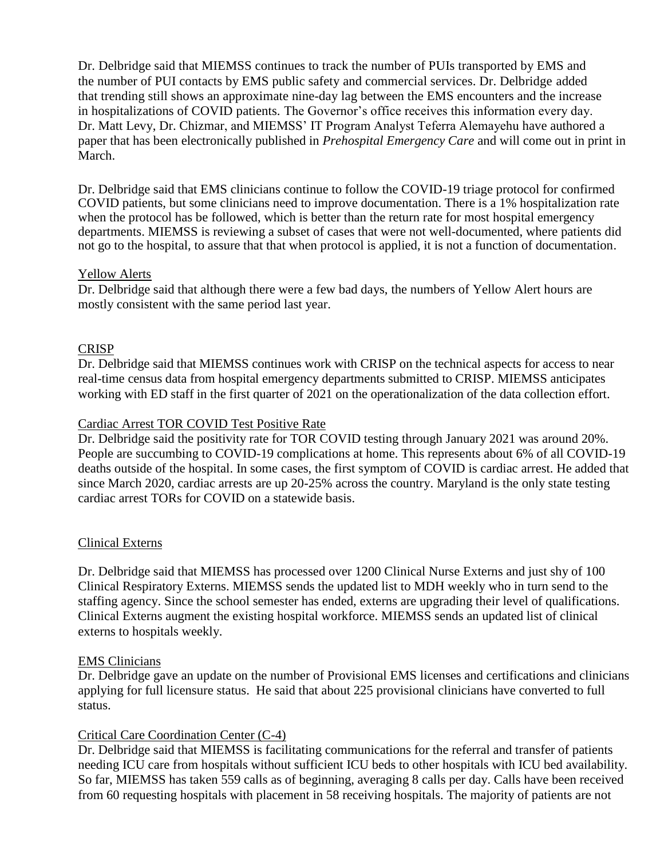Dr. Delbridge said that MIEMSS continues to track the number of PUIs transported by EMS and the number of PUI contacts by EMS public safety and commercial services. Dr. Delbridge added that trending still shows an approximate nine-day lag between the EMS encounters and the increase in hospitalizations of COVID patients. The Governor's office receives this information every day. Dr. Matt Levy, Dr. Chizmar, and MIEMSS' IT Program Analyst Teferra Alemayehu have authored a paper that has been electronically published in *Prehospital Emergency Care* and will come out in print in March.

Dr. Delbridge said that EMS clinicians continue to follow the COVID-19 triage protocol for confirmed COVID patients, but some clinicians need to improve documentation. There is a 1% hospitalization rate when the protocol has be followed, which is better than the return rate for most hospital emergency departments. MIEMSS is reviewing a subset of cases that were not well-documented, where patients did not go to the hospital, to assure that that when protocol is applied, it is not a function of documentation.

#### Yellow Alerts

Dr. Delbridge said that although there were a few bad days, the numbers of Yellow Alert hours are mostly consistent with the same period last year.

#### CRISP

Dr. Delbridge said that MIEMSS continues work with CRISP on the technical aspects for access to near real-time census data from hospital emergency departments submitted to CRISP. MIEMSS anticipates working with ED staff in the first quarter of 2021 on the operationalization of the data collection effort.

### Cardiac Arrest TOR COVID Test Positive Rate

Dr. Delbridge said the positivity rate for TOR COVID testing through January 2021 was around 20%. People are succumbing to COVID-19 complications at home. This represents about 6% of all COVID-19 deaths outside of the hospital. In some cases, the first symptom of COVID is cardiac arrest. He added that since March 2020, cardiac arrests are up 20-25% across the country. Maryland is the only state testing cardiac arrest TORs for COVID on a statewide basis.

#### Clinical Externs

Dr. Delbridge said that MIEMSS has processed over 1200 Clinical Nurse Externs and just shy of 100 Clinical Respiratory Externs. MIEMSS sends the updated list to MDH weekly who in turn send to the staffing agency. Since the school semester has ended, externs are upgrading their level of qualifications. Clinical Externs augment the existing hospital workforce. MIEMSS sends an updated list of clinical externs to hospitals weekly.

#### EMS Clinicians

Dr. Delbridge gave an update on the number of Provisional EMS licenses and certifications and clinicians applying for full licensure status. He said that about 225 provisional clinicians have converted to full status.

## Critical Care Coordination Center (C-4)

Dr. Delbridge said that MIEMSS is facilitating communications for the referral and transfer of patients needing ICU care from hospitals without sufficient ICU beds to other hospitals with ICU bed availability. So far, MIEMSS has taken 559 calls as of beginning, averaging 8 calls per day. Calls have been received from 60 requesting hospitals with placement in 58 receiving hospitals. The majority of patients are not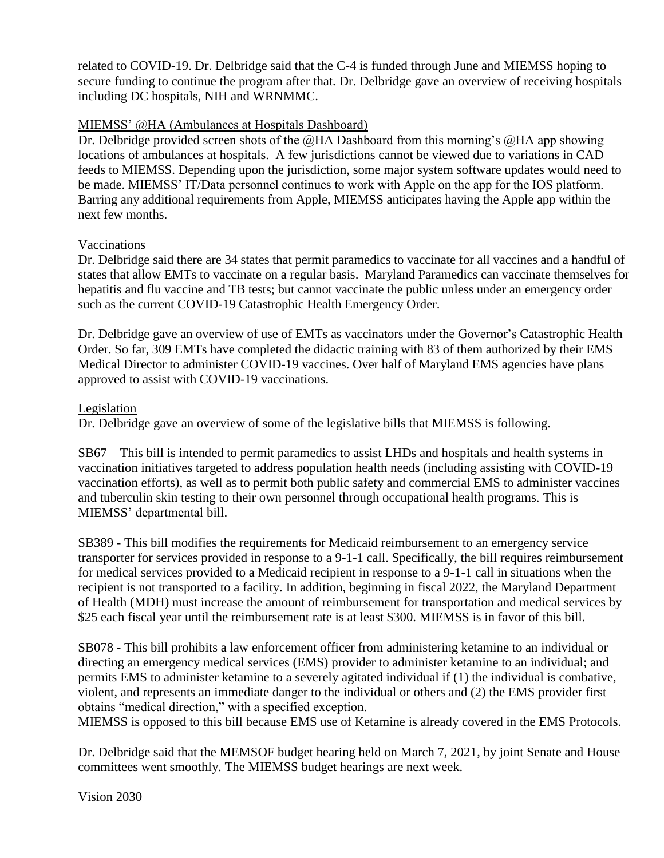related to COVID-19. Dr. Delbridge said that the C-4 is funded through June and MIEMSS hoping to secure funding to continue the program after that. Dr. Delbridge gave an overview of receiving hospitals including DC hospitals, NIH and WRNMMC.

### MIEMSS' @HA (Ambulances at Hospitals Dashboard)

Dr. Delbridge provided screen shots of the  $@HA$  Dashboard from this morning's  $@HA$  app showing locations of ambulances at hospitals. A few jurisdictions cannot be viewed due to variations in CAD feeds to MIEMSS. Depending upon the jurisdiction, some major system software updates would need to be made. MIEMSS' IT/Data personnel continues to work with Apple on the app for the IOS platform. Barring any additional requirements from Apple, MIEMSS anticipates having the Apple app within the next few months.

### Vaccinations

Dr. Delbridge said there are 34 states that permit paramedics to vaccinate for all vaccines and a handful of states that allow EMTs to vaccinate on a regular basis. Maryland Paramedics can vaccinate themselves for hepatitis and flu vaccine and TB tests; but cannot vaccinate the public unless under an emergency order such as the current COVID-19 Catastrophic Health Emergency Order.

Dr. Delbridge gave an overview of use of EMTs as vaccinators under the Governor's Catastrophic Health Order. So far, 309 EMTs have completed the didactic training with 83 of them authorized by their EMS Medical Director to administer COVID-19 vaccines. Over half of Maryland EMS agencies have plans approved to assist with COVID-19 vaccinations.

### Legislation

Dr. Delbridge gave an overview of some of the legislative bills that MIEMSS is following.

SB67 – This bill is intended to permit paramedics to assist LHDs and hospitals and health systems in vaccination initiatives targeted to address population health needs (including assisting with COVID-19 vaccination efforts), as well as to permit both public safety and commercial EMS to administer vaccines and tuberculin skin testing to their own personnel through occupational health programs. This is MIEMSS' departmental bill.

SB389 - This bill modifies the requirements for Medicaid reimbursement to an emergency service transporter for services provided in response to a 9-1-1 call. Specifically, the bill requires reimbursement for medical services provided to a Medicaid recipient in response to a 9-1-1 call in situations when the recipient is not transported to a facility. In addition, beginning in fiscal 2022, the Maryland Department of Health (MDH) must increase the amount of reimbursement for transportation and medical services by \$25 each fiscal year until the reimbursement rate is at least \$300. MIEMSS is in favor of this bill.

SB078 - This bill prohibits a law enforcement officer from administering ketamine to an individual or directing an emergency medical services (EMS) provider to administer ketamine to an individual; and permits EMS to administer ketamine to a severely agitated individual if (1) the individual is combative, violent, and represents an immediate danger to the individual or others and (2) the EMS provider first obtains "medical direction," with a specified exception.

MIEMSS is opposed to this bill because EMS use of Ketamine is already covered in the EMS Protocols.

Dr. Delbridge said that the MEMSOF budget hearing held on March 7, 2021, by joint Senate and House committees went smoothly. The MIEMSS budget hearings are next week.

Vision 2030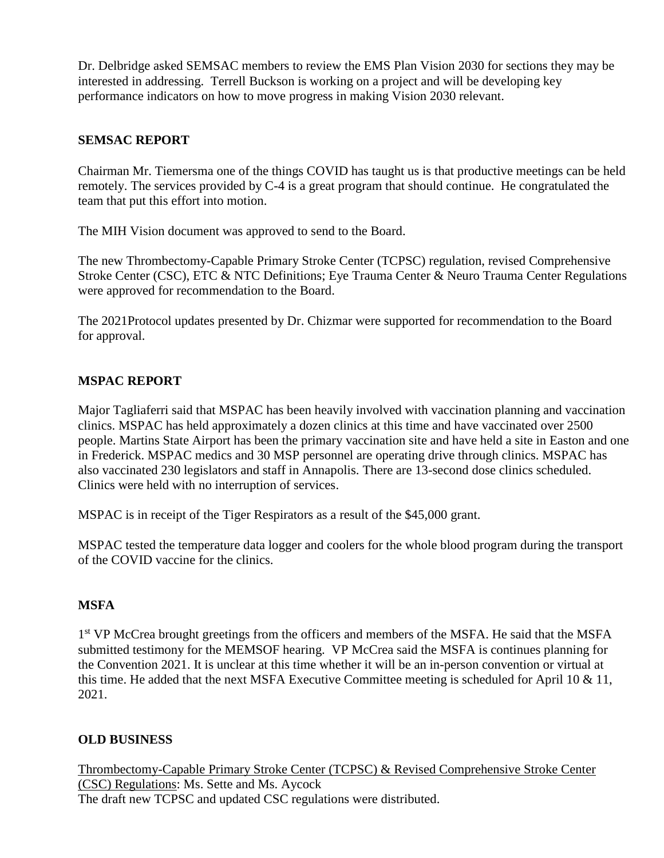Dr. Delbridge asked SEMSAC members to review the EMS Plan Vision 2030 for sections they may be interested in addressing. Terrell Buckson is working on a project and will be developing key performance indicators on how to move progress in making Vision 2030 relevant.

### **SEMSAC REPORT**

Chairman Mr. Tiemersma one of the things COVID has taught us is that productive meetings can be held remotely. The services provided by C-4 is a great program that should continue. He congratulated the team that put this effort into motion.

The MIH Vision document was approved to send to the Board.

The new Thrombectomy-Capable Primary Stroke Center (TCPSC) regulation, revised Comprehensive Stroke Center (CSC), ETC & NTC Definitions; Eye Trauma Center & Neuro Trauma Center Regulations were approved for recommendation to the Board.

The 2021Protocol updates presented by Dr. Chizmar were supported for recommendation to the Board for approval.

## **MSPAC REPORT**

Major Tagliaferri said that MSPAC has been heavily involved with vaccination planning and vaccination clinics. MSPAC has held approximately a dozen clinics at this time and have vaccinated over 2500 people. Martins State Airport has been the primary vaccination site and have held a site in Easton and one in Frederick. MSPAC medics and 30 MSP personnel are operating drive through clinics. MSPAC has also vaccinated 230 legislators and staff in Annapolis. There are 13-second dose clinics scheduled. Clinics were held with no interruption of services.

MSPAC is in receipt of the Tiger Respirators as a result of the \$45,000 grant.

MSPAC tested the temperature data logger and coolers for the whole blood program during the transport of the COVID vaccine for the clinics.

## **MSFA**

1<sup>st</sup> VP McCrea brought greetings from the officers and members of the MSFA. He said that the MSFA submitted testimony for the MEMSOF hearing. VP McCrea said the MSFA is continues planning for the Convention 2021. It is unclear at this time whether it will be an in-person convention or virtual at this time. He added that the next MSFA Executive Committee meeting is scheduled for April 10 & 11, 2021.

## **OLD BUSINESS**

Thrombectomy-Capable Primary Stroke Center (TCPSC) & Revised Comprehensive Stroke Center (CSC) Regulations: Ms. Sette and Ms. Aycock The draft new TCPSC and updated CSC regulations were distributed.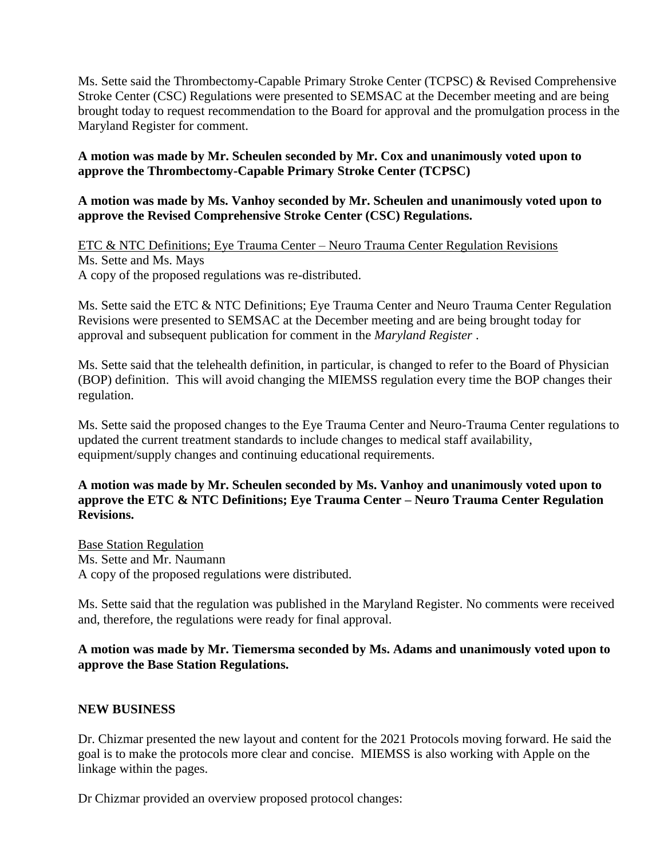Ms. Sette said the Thrombectomy-Capable Primary Stroke Center (TCPSC) & Revised Comprehensive Stroke Center (CSC) Regulations were presented to SEMSAC at the December meeting and are being brought today to request recommendation to the Board for approval and the promulgation process in the Maryland Register for comment.

## **A motion was made by Mr. Scheulen seconded by Mr. Cox and unanimously voted upon to approve the Thrombectomy-Capable Primary Stroke Center (TCPSC)**

### **A motion was made by Ms. Vanhoy seconded by Mr. Scheulen and unanimously voted upon to approve the Revised Comprehensive Stroke Center (CSC) Regulations.**

ETC & NTC Definitions; Eye Trauma Center – Neuro Trauma Center Regulation Revisions Ms. Sette and Ms. Mays A copy of the proposed regulations was re-distributed.

Ms. Sette said the ETC & NTC Definitions; Eye Trauma Center and Neuro Trauma Center Regulation Revisions were presented to SEMSAC at the December meeting and are being brought today for approval and subsequent publication for comment in the *Maryland Register* .

Ms. Sette said that the telehealth definition, in particular, is changed to refer to the Board of Physician (BOP) definition. This will avoid changing the MIEMSS regulation every time the BOP changes their regulation.

Ms. Sette said the proposed changes to the Eye Trauma Center and Neuro-Trauma Center regulations to updated the current treatment standards to include changes to medical staff availability, equipment/supply changes and continuing educational requirements.

### **A motion was made by Mr. Scheulen seconded by Ms. Vanhoy and unanimously voted upon to approve the ETC & NTC Definitions; Eye Trauma Center – Neuro Trauma Center Regulation Revisions.**

Base Station Regulation Ms. Sette and Mr. Naumann A copy of the proposed regulations were distributed.

Ms. Sette said that the regulation was published in the Maryland Register. No comments were received and, therefore, the regulations were ready for final approval.

### **A motion was made by Mr. Tiemersma seconded by Ms. Adams and unanimously voted upon to approve the Base Station Regulations.**

## **NEW BUSINESS**

Dr. Chizmar presented the new layout and content for the 2021 Protocols moving forward. He said the goal is to make the protocols more clear and concise. MIEMSS is also working with Apple on the linkage within the pages.

Dr Chizmar provided an overview proposed protocol changes: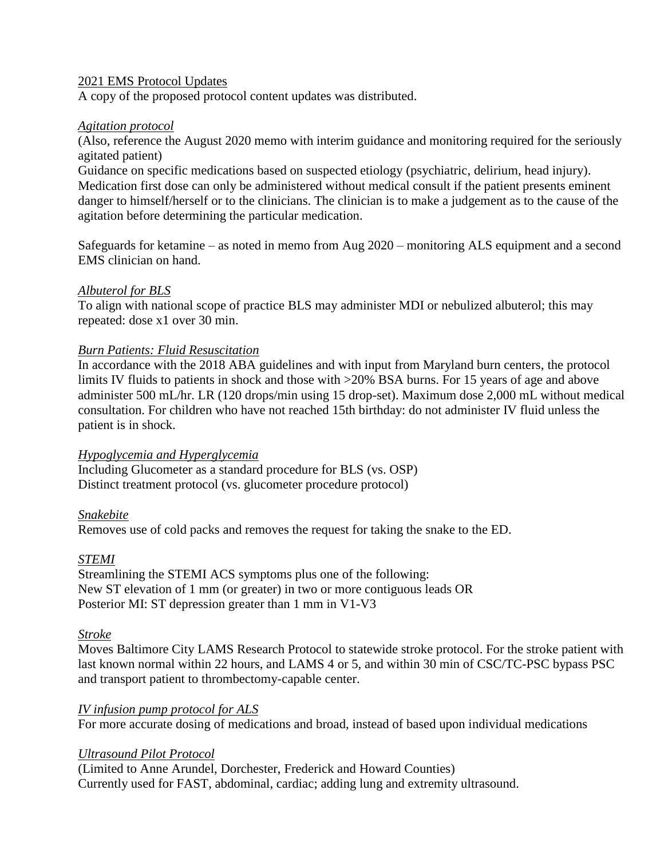#### 2021 EMS Protocol Updates

A copy of the proposed protocol content updates was distributed.

### *Agitation protocol*

(Also, reference the August 2020 memo with interim guidance and monitoring required for the seriously agitated patient)

Guidance on specific medications based on suspected etiology (psychiatric, delirium, head injury). Medication first dose can only be administered without medical consult if the patient presents eminent danger to himself/herself or to the clinicians. The clinician is to make a judgement as to the cause of the agitation before determining the particular medication.

Safeguards for ketamine – as noted in memo from Aug 2020 – monitoring ALS equipment and a second EMS clinician on hand.

### *Albuterol for BLS*

To align with national scope of practice BLS may administer MDI or nebulized albuterol; this may repeated: dose x1 over 30 min.

### *Burn Patients: Fluid Resuscitation*

In accordance with the 2018 ABA guidelines and with input from Maryland burn centers, the protocol limits IV fluids to patients in shock and those with  $>20\%$  BSA burns. For 15 years of age and above administer 500 mL/hr. LR (120 drops/min using 15 drop-set). Maximum dose 2,000 mL without medical consultation. For children who have not reached 15th birthday: do not administer IV fluid unless the patient is in shock.

#### *Hypoglycemia and Hyperglycemia*

Including Glucometer as a standard procedure for BLS (vs. OSP) Distinct treatment protocol (vs. glucometer procedure protocol)

## *Snakebite*

Removes use of cold packs and removes the request for taking the snake to the ED.

## *STEMI*

Streamlining the STEMI ACS symptoms plus one of the following: New ST elevation of 1 mm (or greater) in two or more contiguous leads OR Posterior MI: ST depression greater than 1 mm in V1-V3

## *Stroke*

Moves Baltimore City LAMS Research Protocol to statewide stroke protocol. For the stroke patient with last known normal within 22 hours, and LAMS 4 or 5, and within 30 min of CSC/TC-PSC bypass PSC and transport patient to thrombectomy-capable center.

## *IV infusion pump protocol for ALS*

For more accurate dosing of medications and broad, instead of based upon individual medications

## *Ultrasound Pilot Protocol*

(Limited to Anne Arundel, Dorchester, Frederick and Howard Counties) Currently used for FAST, abdominal, cardiac; adding lung and extremity ultrasound.